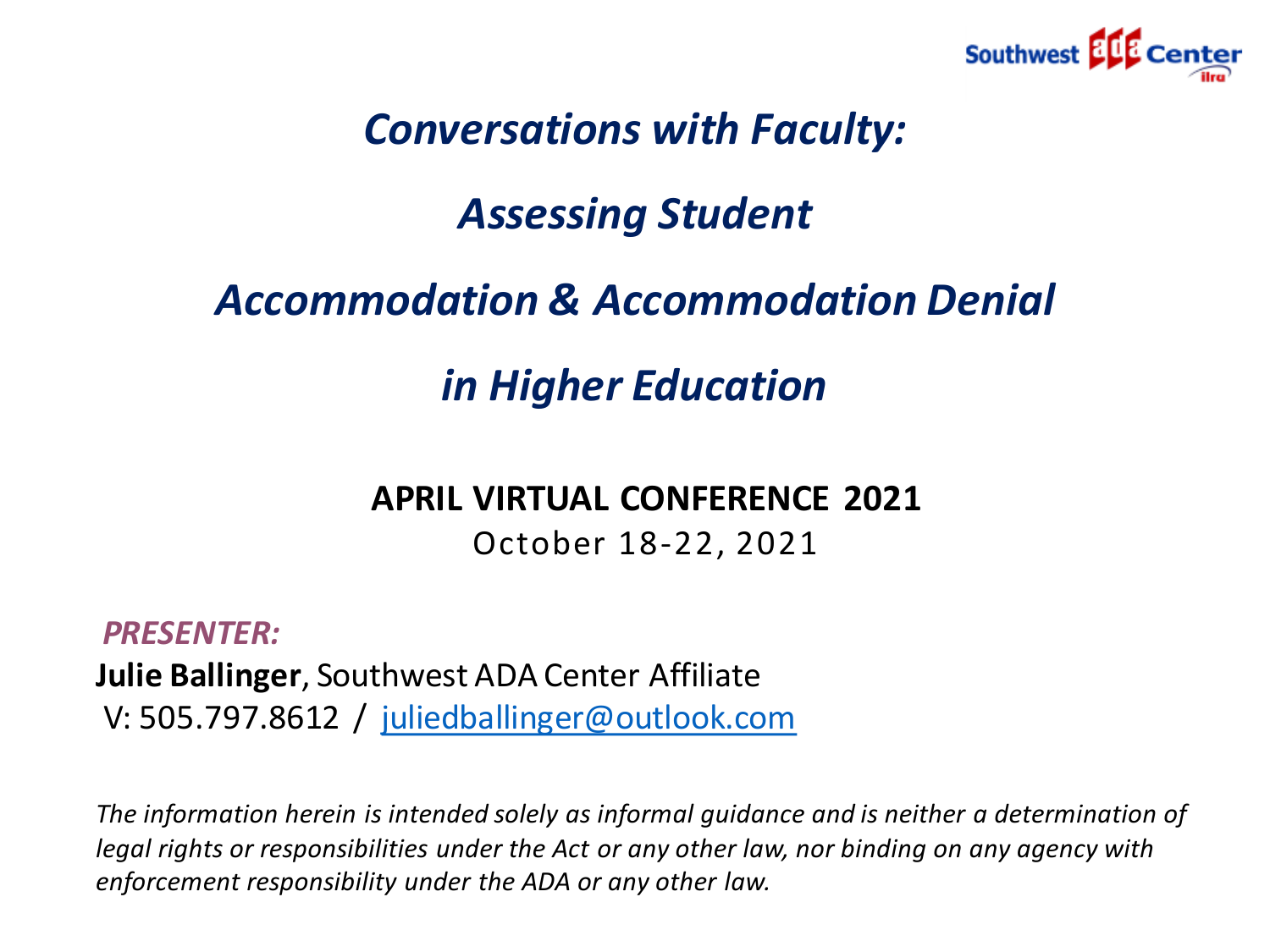

#### *Conversations with Faculty:*

#### *Assessing Student*

#### *Accommodation & Accommodation Denial*

#### *in Higher Education*

#### **APRIL VIRTUAL CONFERENCE 2021**

October 18-22, 2021

*PRESENTER:* **Julie Ballinger**, Southwest ADA Center Affiliate V: 505.797.8612 / [juliedballinger@outlook.com](mailto:juliedballinger@outlook.com)

*The information herein is intended solely as informal guidance and is neither a determination of legal rights or responsibilities under the Act or any other law, nor binding on any agency with enforcement responsibility under the ADA or any other law.*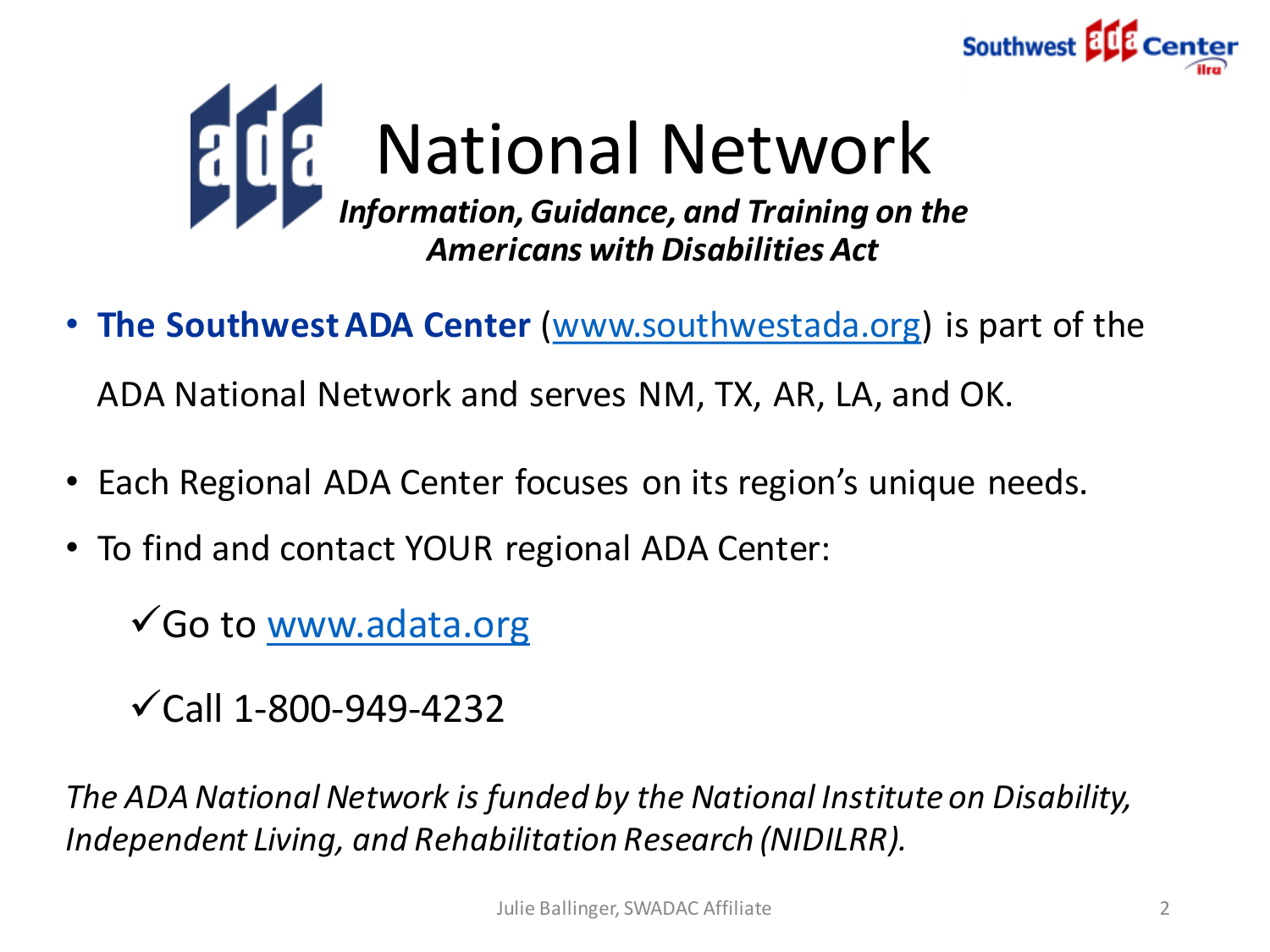



• **The Southwest ADA Center** [\(www.southwestada.org\)](http://www.southwestada.org/) is part of the

ADA National Network and serves NM, TX, AR, LA, and OK.

- Each Regional ADA Center focuses on its region's unique needs.
- To find and contact YOUR regional ADA Center:

Go to [www.adata.org](http://www.adata.org/)

 $\checkmark$  Call 1-800-949-4232

*The ADA National Network is funded by the National Institute on Disability, Independent Living, and Rehabilitation Research (NIDILRR).*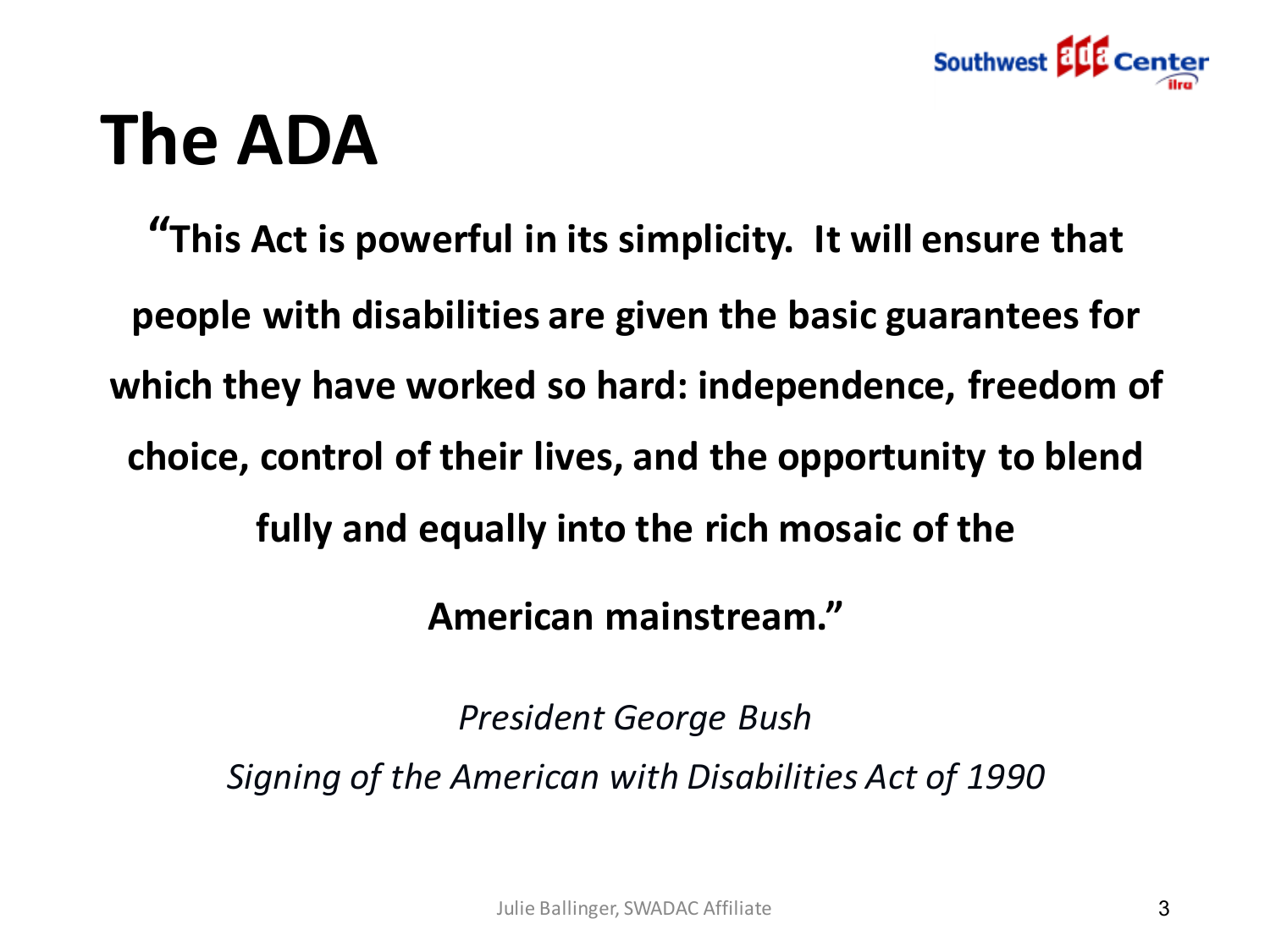

# **The ADA**

**"This Act is powerful in its simplicity. It will ensure that people with disabilities are given the basic guarantees for which they have worked so hard: independence, freedom of choice, control of their lives, and the opportunity to blend fully and equally into the rich mosaic of the** 

**American mainstream."** 

*President George Bush* 

*Signing of the American with Disabilities Act of 1990*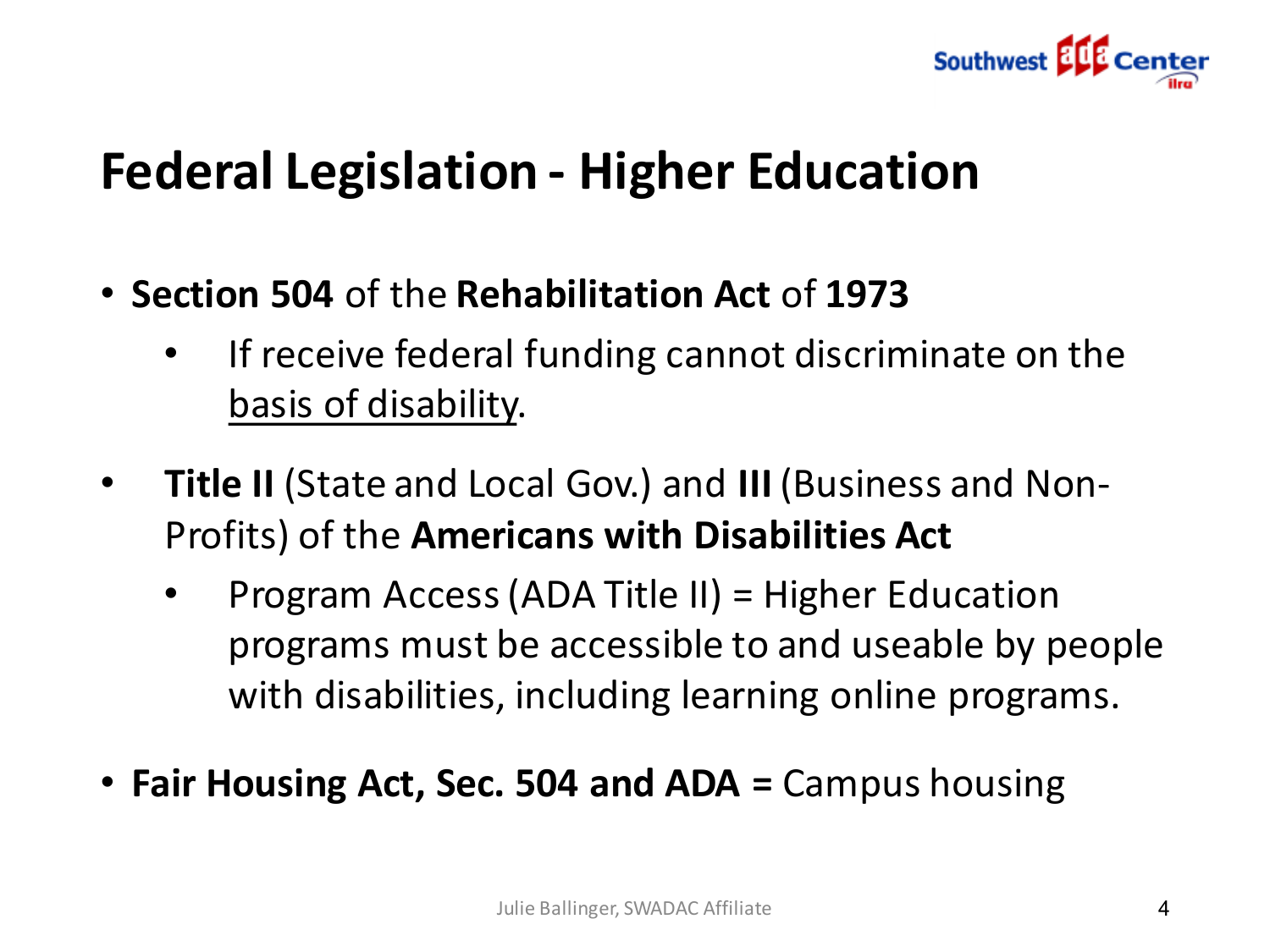

### **Federal Legislation - Higher Education**

- **Section 504** of the **Rehabilitation Act** of **1973**
	- If receive federal funding cannot discriminate on the basis of disability.
- **Title II** (State and Local Gov.) and **III** (Business and Non-Profits) of the **Americans with Disabilities Act**
	- Program Access (ADA Title II) = Higher Education programs must be accessible to and useable by people with disabilities, including learning online programs.
- **Fair Housing Act, Sec. 504 and ADA =** Campus housing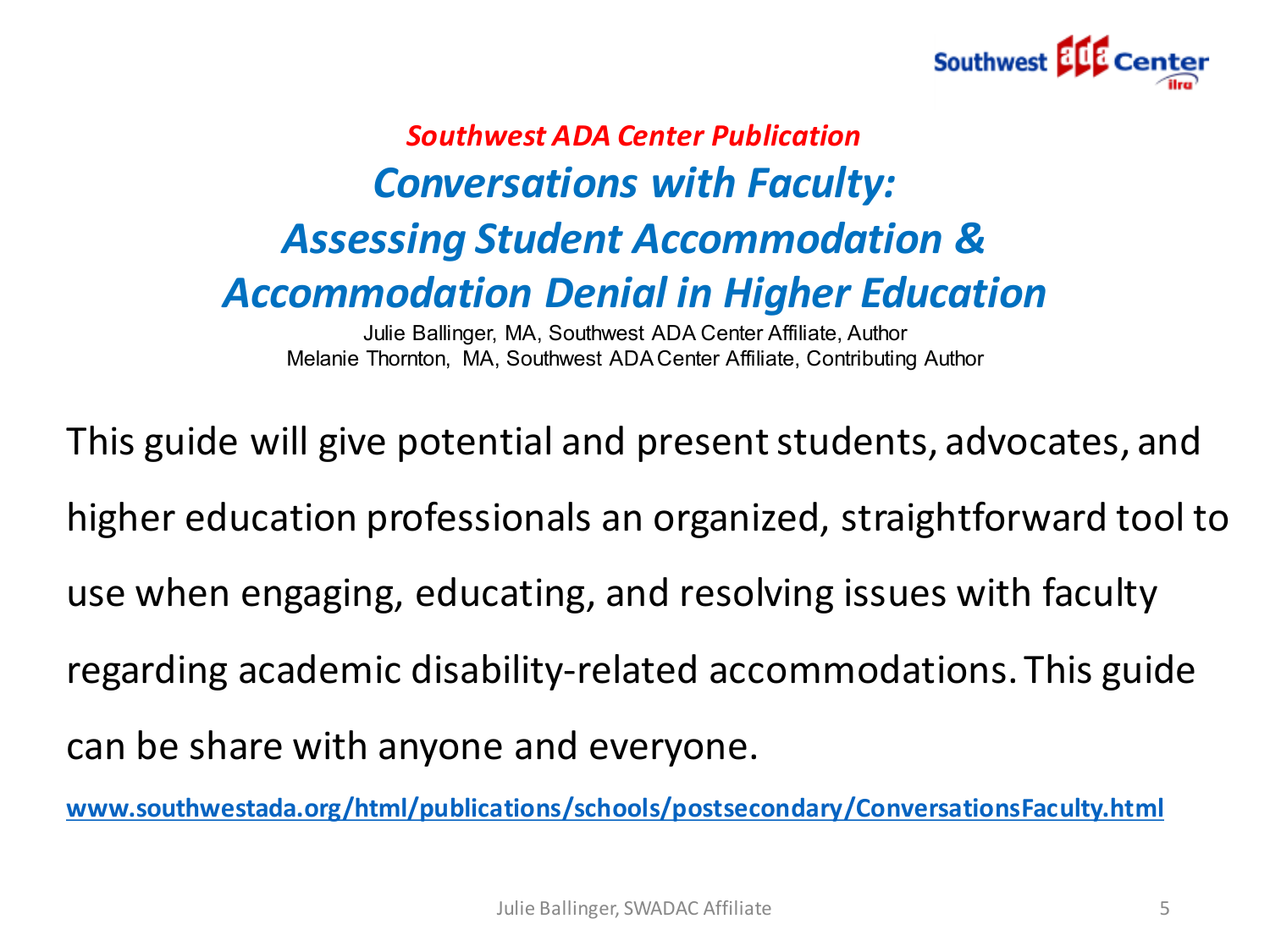

#### *Southwest ADA Center Publication Conversations with Faculty: Assessing Student Accommodation & Accommodation Denial in Higher Education*

Julie Ballinger, MA, Southwest ADA Center Affiliate, Author Melanie Thornton, MA, Southwest ADA Center Affiliate, Contributing Author

This guide will give potential and present students, advocates, and higher education professionals an organized, straightforward tool to use when engaging, educating, and resolving issues with faculty regarding academic disability-related accommodations. This guide can be share with anyone and everyone.

**[www.southwestada.org/html/publications/schools/postsecondary/ConversationsFaculty.html](http://www.southwestada.org/html/publications/schools/postsecondary/ConversationsFaculty.html)**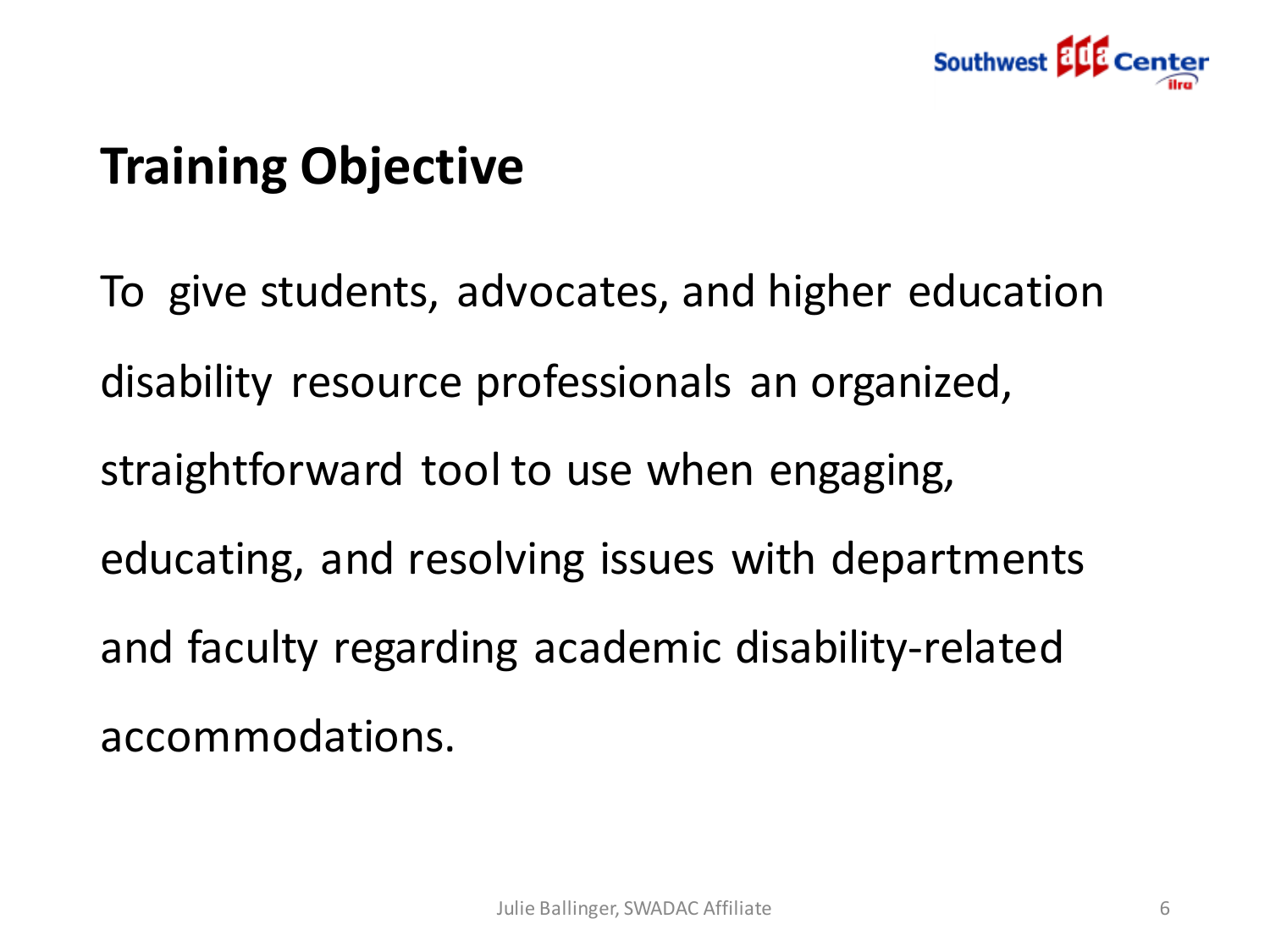

# **Training Objective**

To give students, advocates, and higher education disability resource professionals an organized, straightforward tool to use when engaging, educating, and resolving issues with departments and faculty regarding academic disability-related accommodations.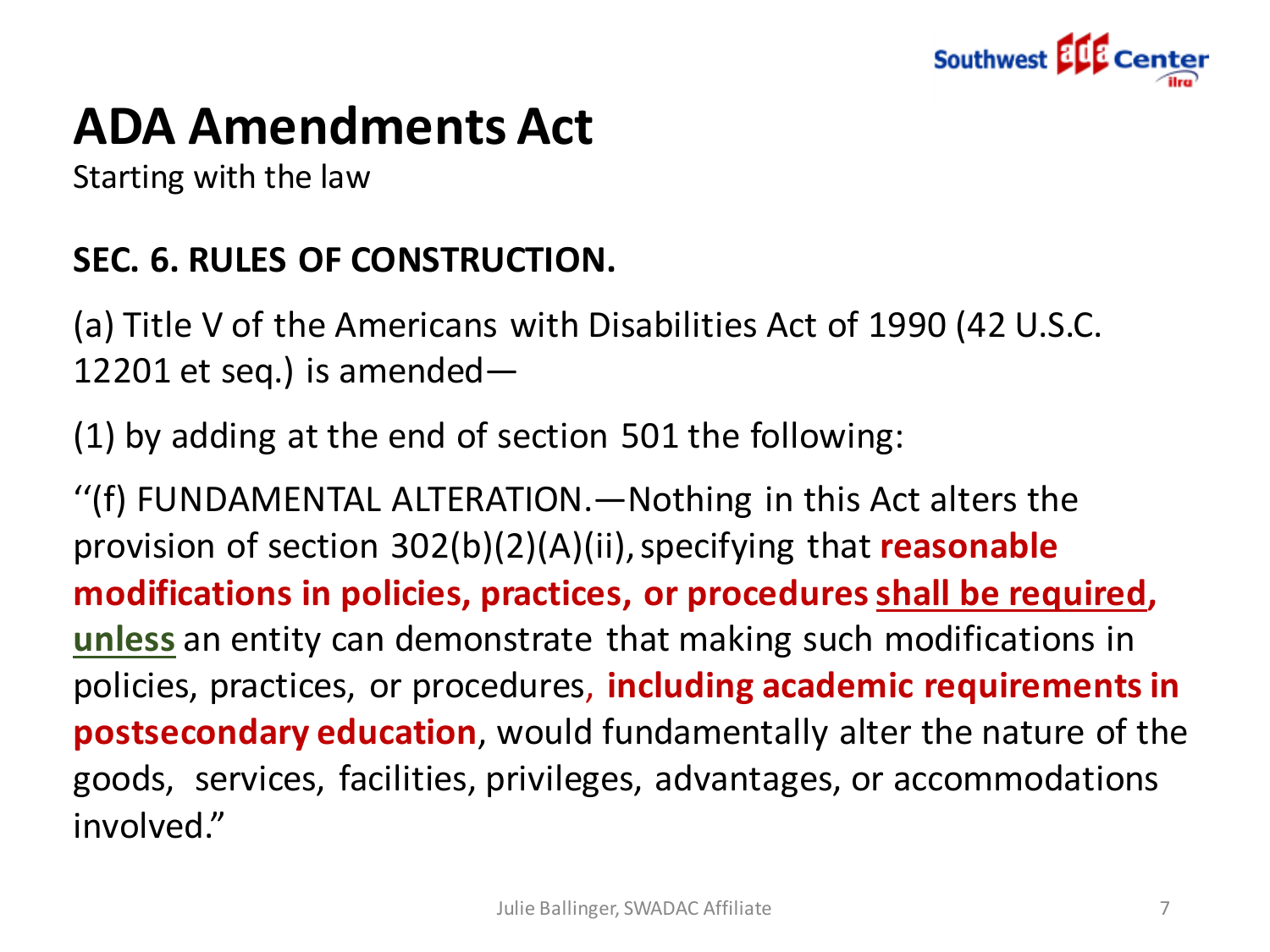

# **ADA Amendments Act**

Starting with the law

#### **SEC. 6. RULES OF CONSTRUCTION.**

(a) Title V of the Americans with Disabilities Act of 1990 (42 U.S.C. 12201 et seq.) is amended—

(1) by adding at the end of section 501 the following:

''(f) FUNDAMENTAL ALTERATION.—Nothing in this Act alters the provision of section 302(b)(2)(A)(ii), specifying that **reasonable modifications in policies, practices, or procedures shall be required, unless** an entity can demonstrate that making such modifications in policies, practices, or procedures, **including academic requirements in postsecondary education**, would fundamentally alter the nature of the goods, services, facilities, privileges, advantages, or accommodations involved."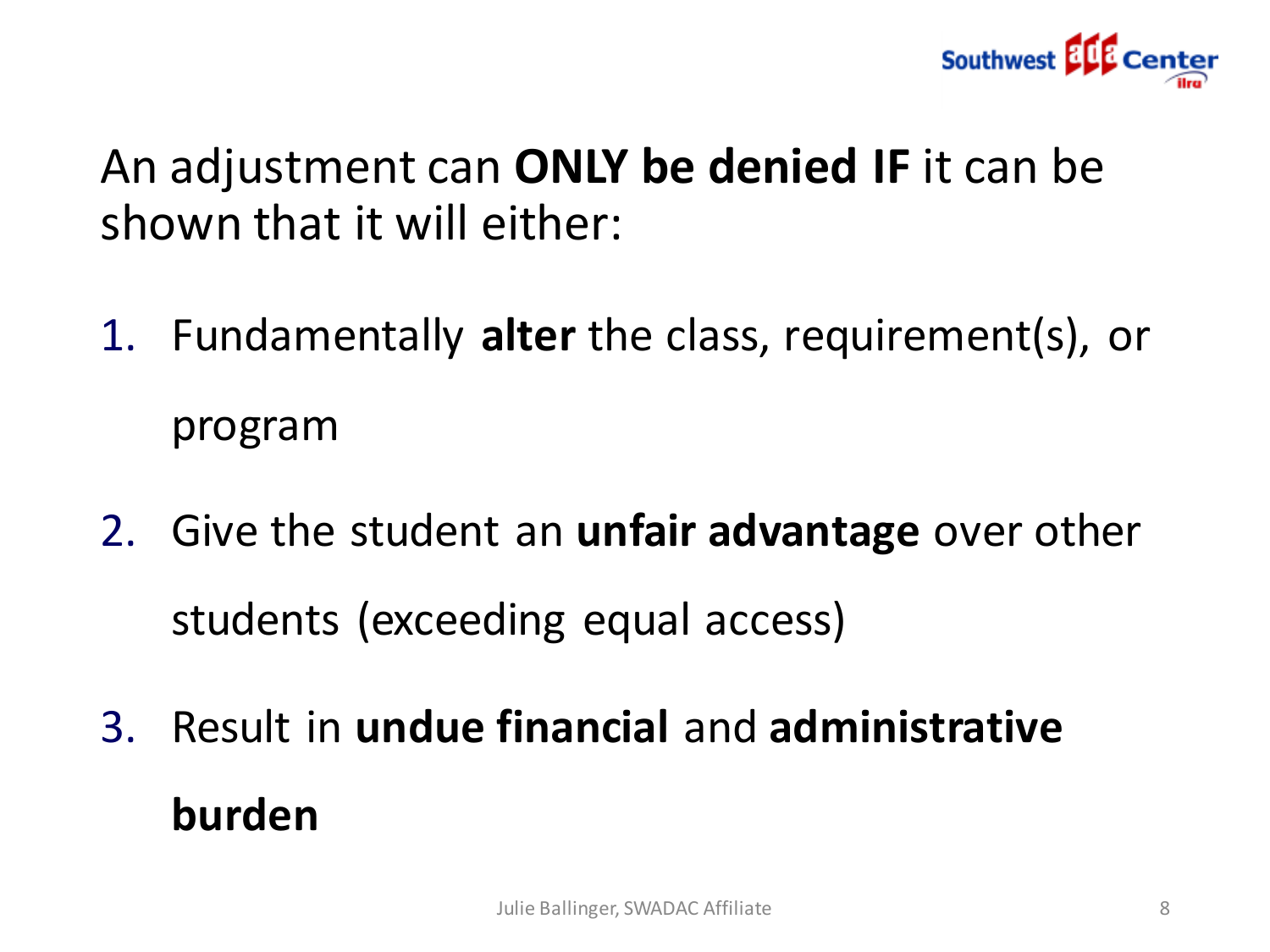

An adjustment can **ONLY be denied IF** it can be shown that it will either:

- 1. Fundamentally **alter** the class, requirement(s), or program
- 2. Give the student an **unfair advantage** over other students (exceeding equal access)
- 3. Result in **undue financial** and **administrative burden**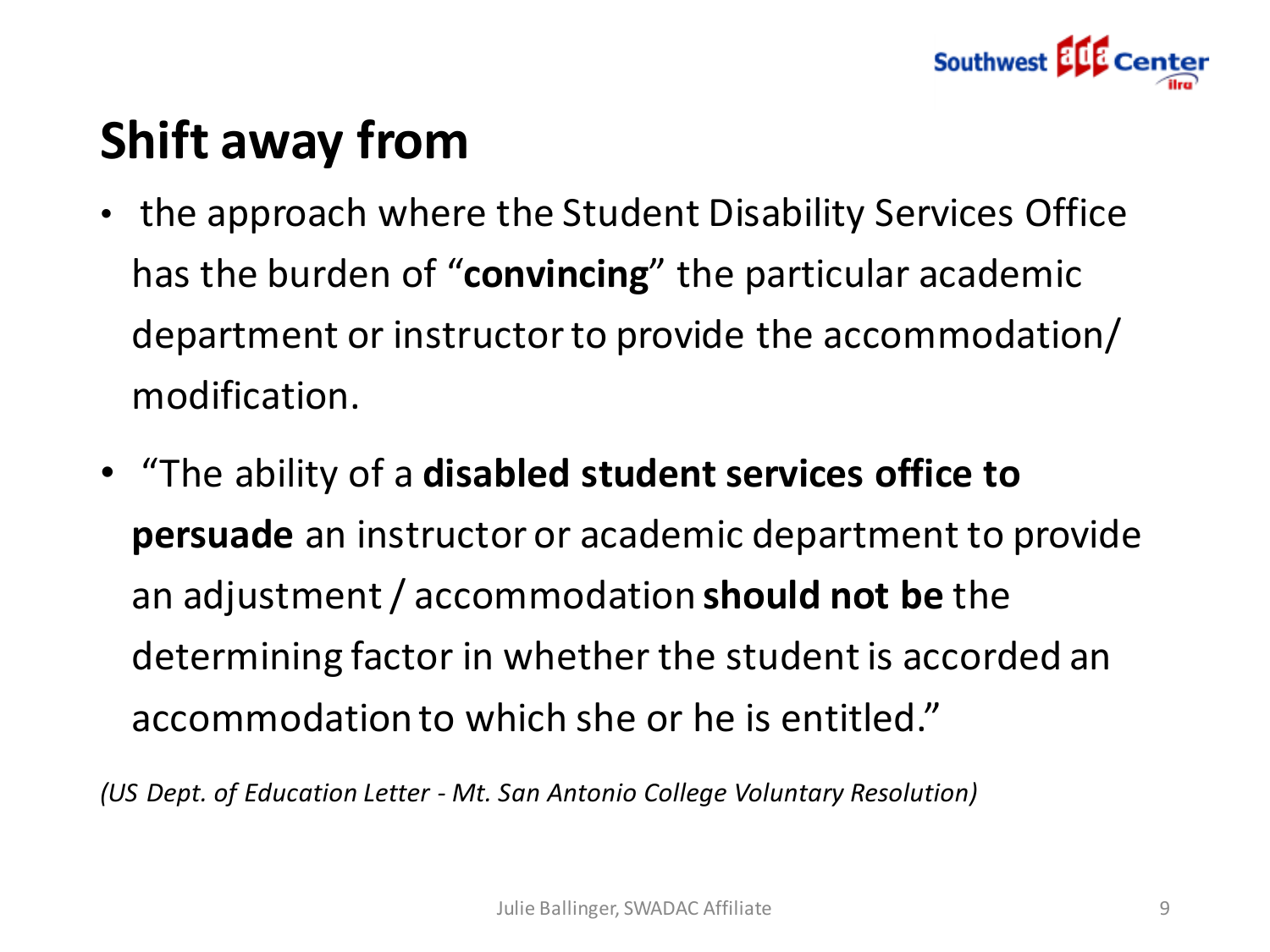

# **Shift away from**

- the approach where the Student Disability Services Office has the burden of "**convincing**" the particular academic department or instructor to provide the accommodation/ modification.
- "The ability of a **disabled student services office to persuade** an instructor or academic department to provide an adjustment / accommodation **should not be** the determining factor in whether the student is accorded an accommodation to which she or he is entitled."

*(US Dept. of Education Letter - Mt. San Antonio College Voluntary Resolution)*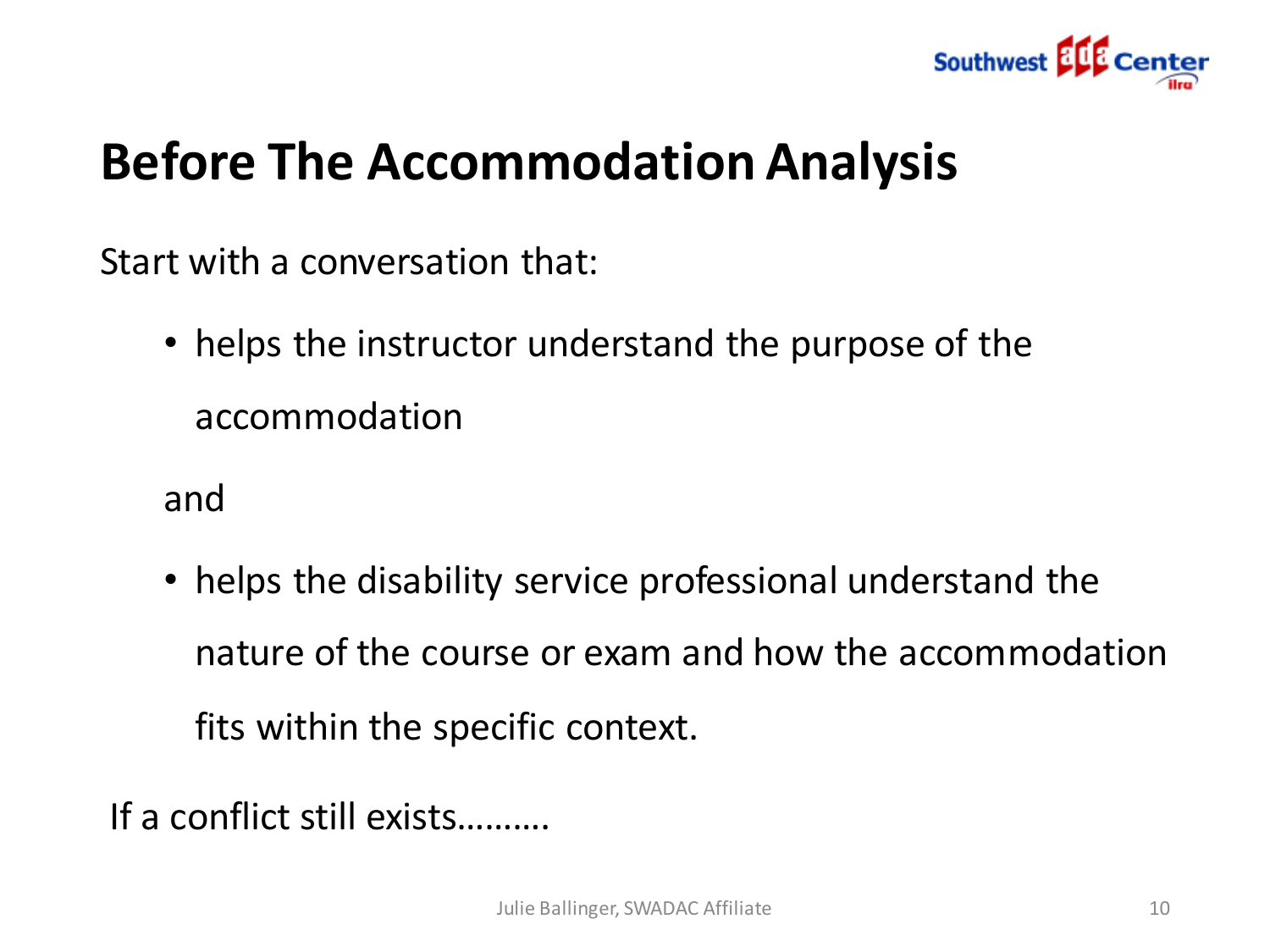

### **Before The Accommodation Analysis**

Start with a conversation that:

• helps the instructor understand the purpose of the accommodation

and

• helps the disability service professional understand the nature of the course or exam and how the accommodation fits within the specific context.

If a conflict still exists……….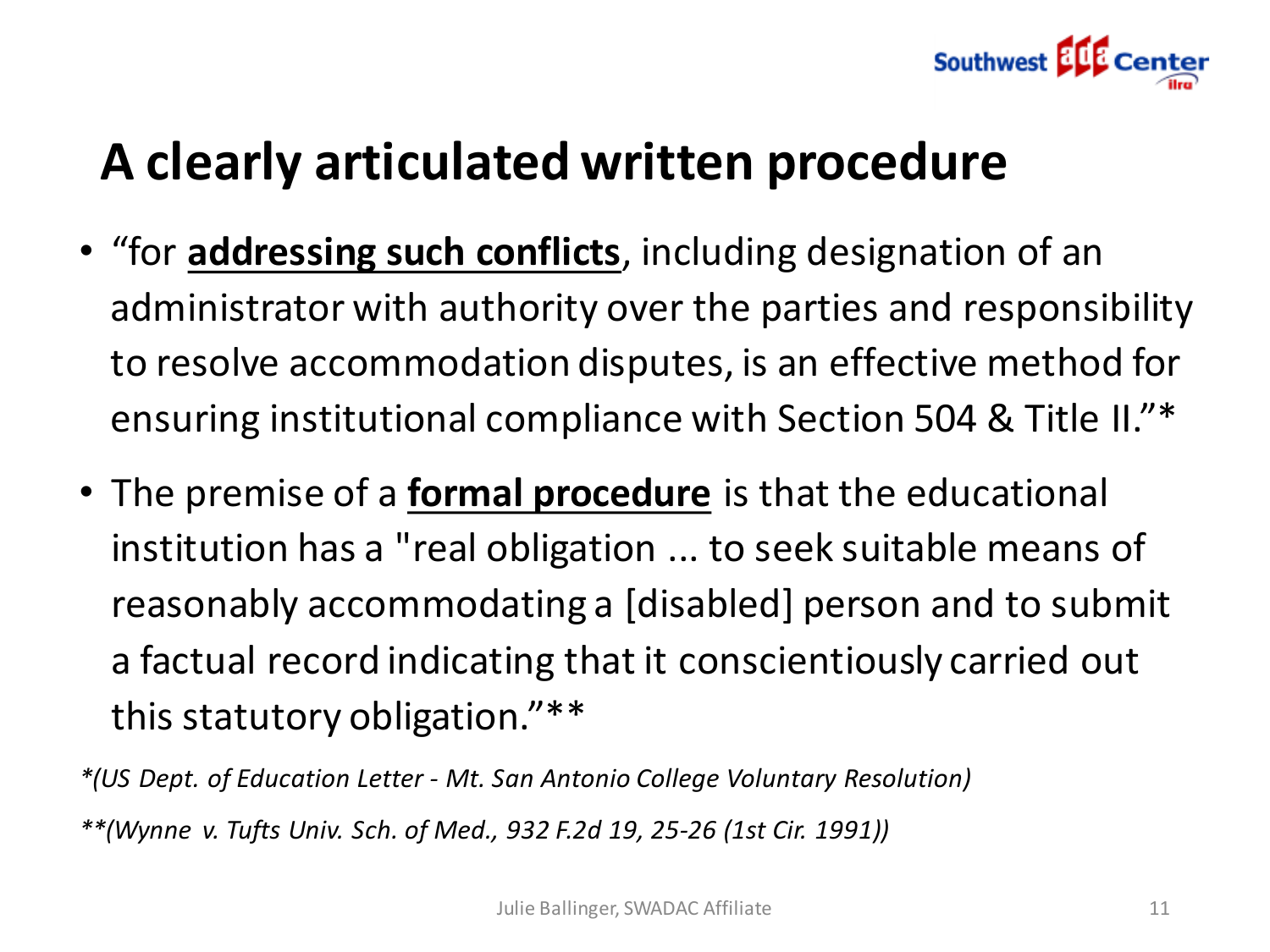

### **A clearly articulated written procedure**

- "for **addressing such conflicts**, including designation of an administrator with authority over the parties and responsibility to resolve accommodation disputes, is an effective method for ensuring institutional compliance with Section 504 & Title II."\*
- The premise of a **formal procedure** is that the educational institution has a "real obligation ... to seek suitable means of reasonably accommodating a [disabled] person and to submit a factual record indicating that it conscientiously carried out this statutory obligation."\*\*

*\*(US Dept. of Education Letter - Mt. San Antonio College Voluntary Resolution) \*\*(Wynne v. Tufts Univ. Sch. of Med., 932 F.2d 19, 25-26 (1st Cir. 1991))*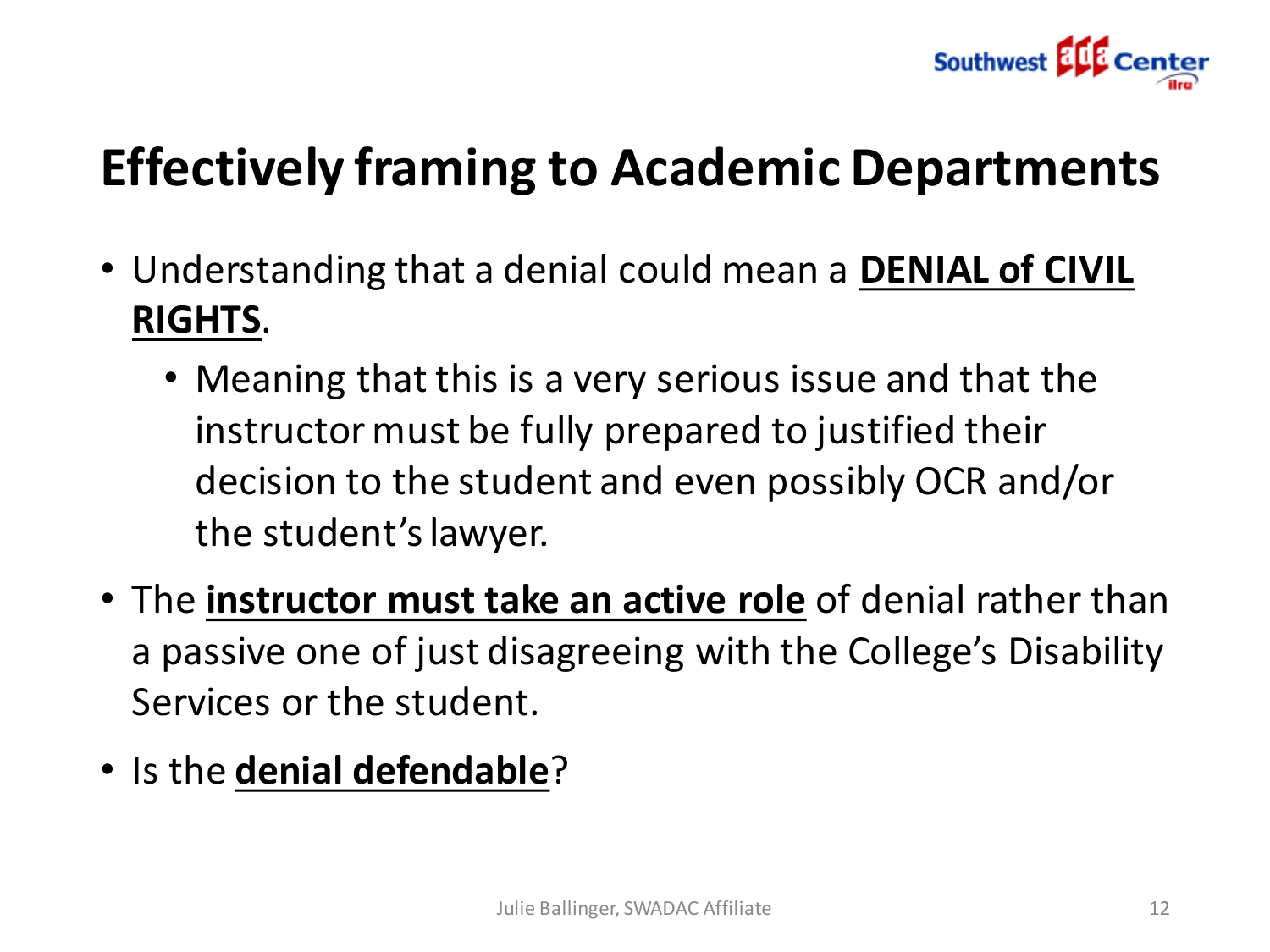

# **Effectively framing to Academic Departments**

- Understanding that a denial could mean a **DENIAL of CIVIL RIGHTS**.
	- Meaning that this is a very serious issue and that the instructor must be fully prepared to justified their decision to the student and even possibly OCR and/or the student's lawyer.
- The **instructor must take an active role** of denial rather than a passive one of just disagreeing with the College's Disability Services or the student.
- Is the **denial defendable**?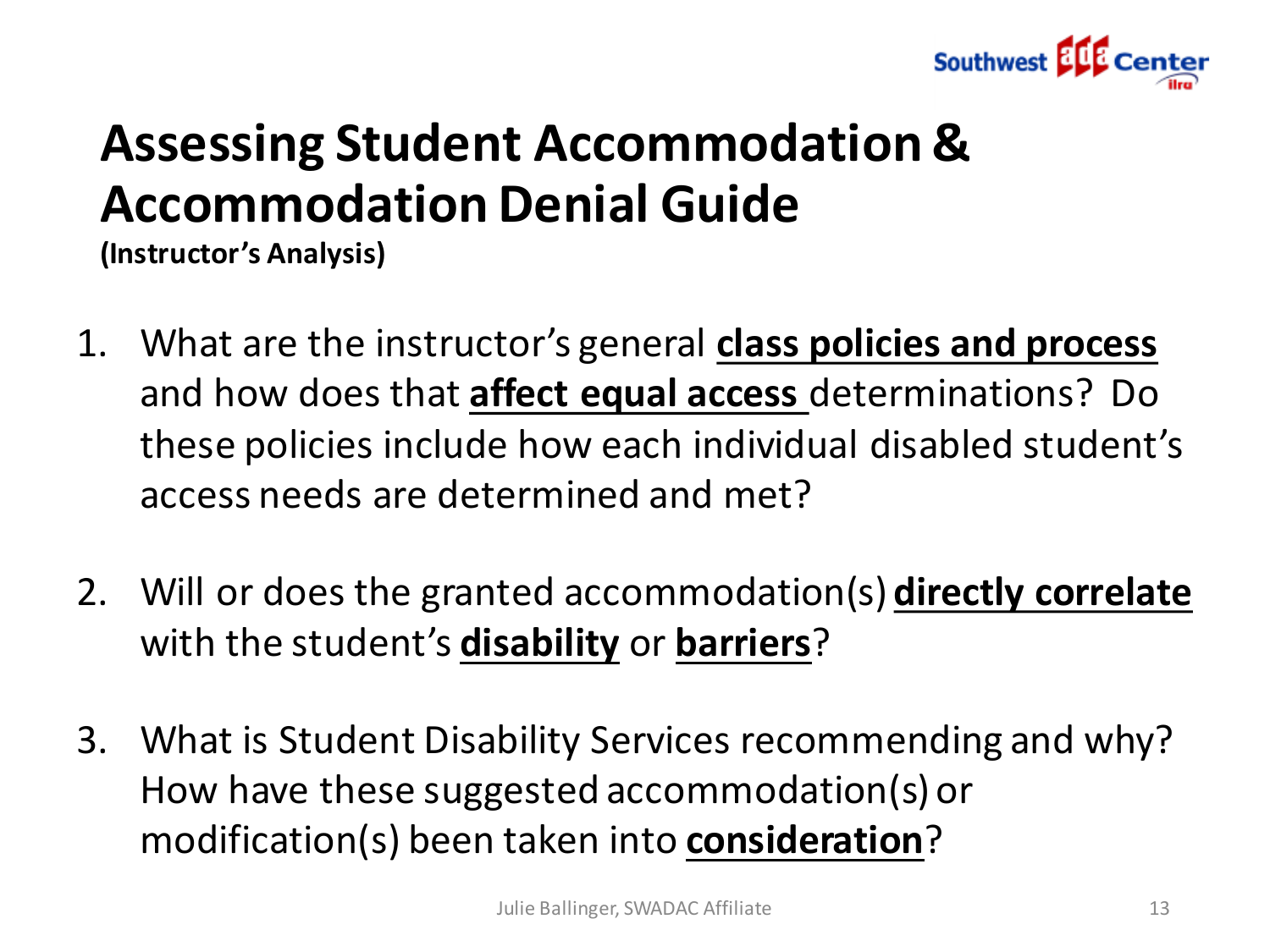

# **Assessing Student Accommodation & Accommodation Denial Guide**

**(Instructor's Analysis)**

- 1. What are the instructor's general **class policies and process**  and how does that **affect equal access** determinations? Do these policies include how each individual disabled student's access needs are determined and met?
- 2. Will or does the granted accommodation(s) **directly correlate** with the student's **disability** or **barriers**?
- 3. What is Student Disability Services recommending and why? How have these suggested accommodation(s) or modification(s) been taken into **consideration**?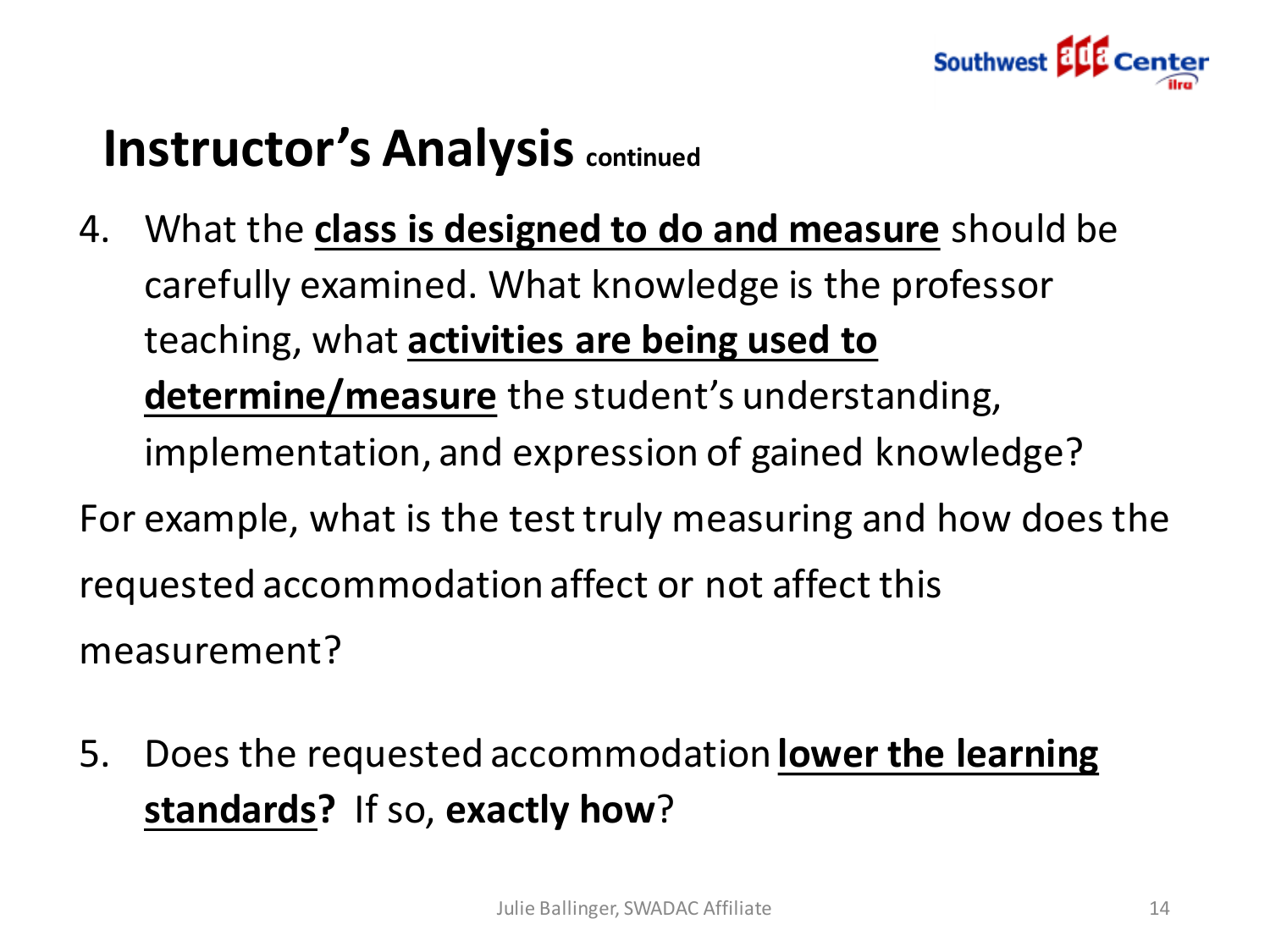

## **Instructor's Analysis continued**

- 4. What the **class is designed to do and measure** should be carefully examined. What knowledge is the professor teaching, what **activities are being used to determine/measure** the student's understanding, implementation, and expression of gained knowledge? For example, what is the test truly measuring and how does the requested accommodation affect or not affect this measurement?
- 5. Does the requested accommodation **lower the learning standards?** If so, **exactly how**?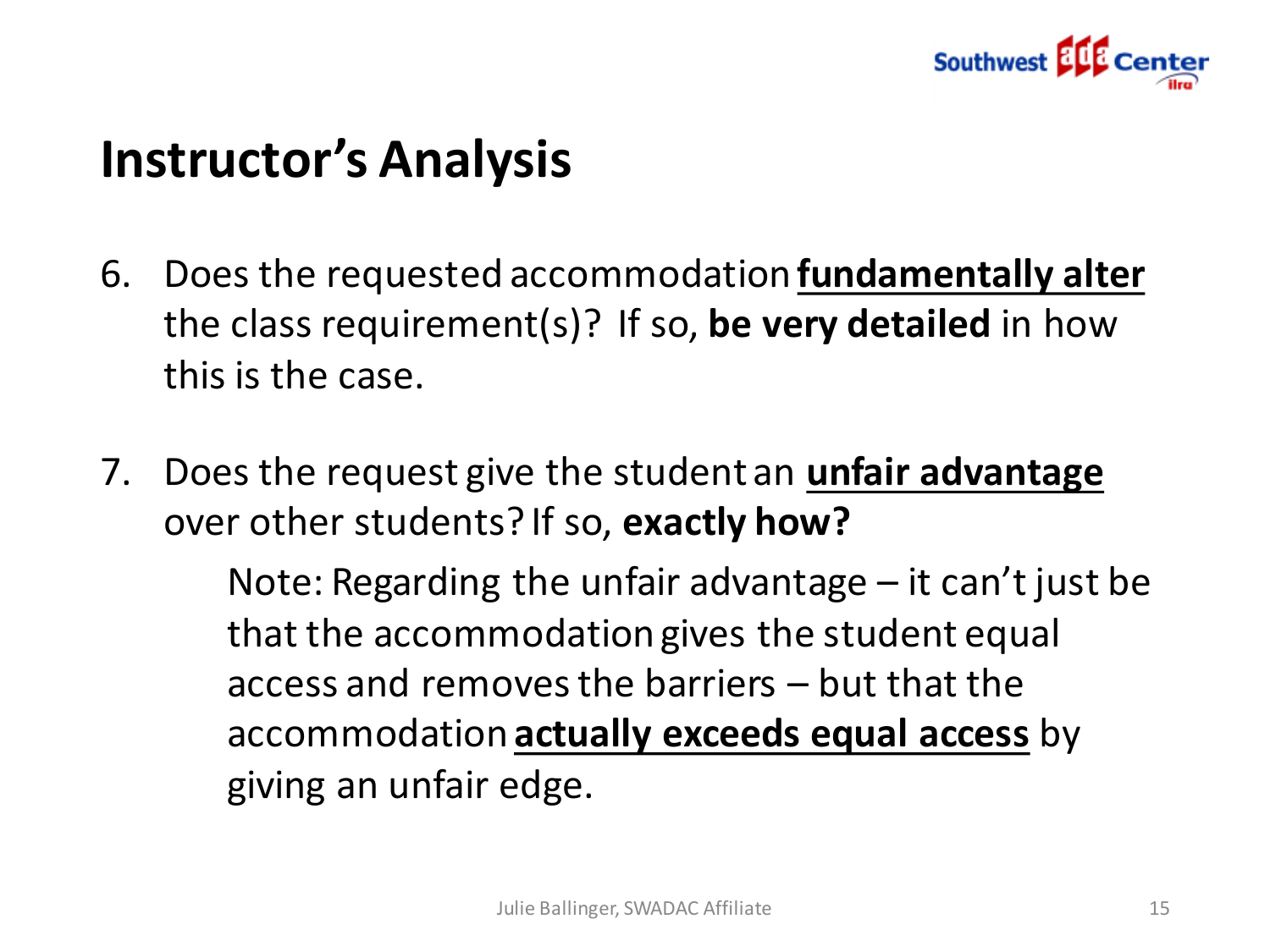

### **Instructor's Analysis**

- 6. Does the requested accommodation **fundamentally alter** the class requirement(s)? If so, **be very detailed** in how this is the case.
- 7. Does the request give the student an **unfair advantage**  over other students? If so, **exactly how?**

Note: Regarding the unfair advantage – it can't just be that the accommodation gives the student equal access and removes the barriers – but that the accommodation **actually exceeds equal access** by giving an unfair edge.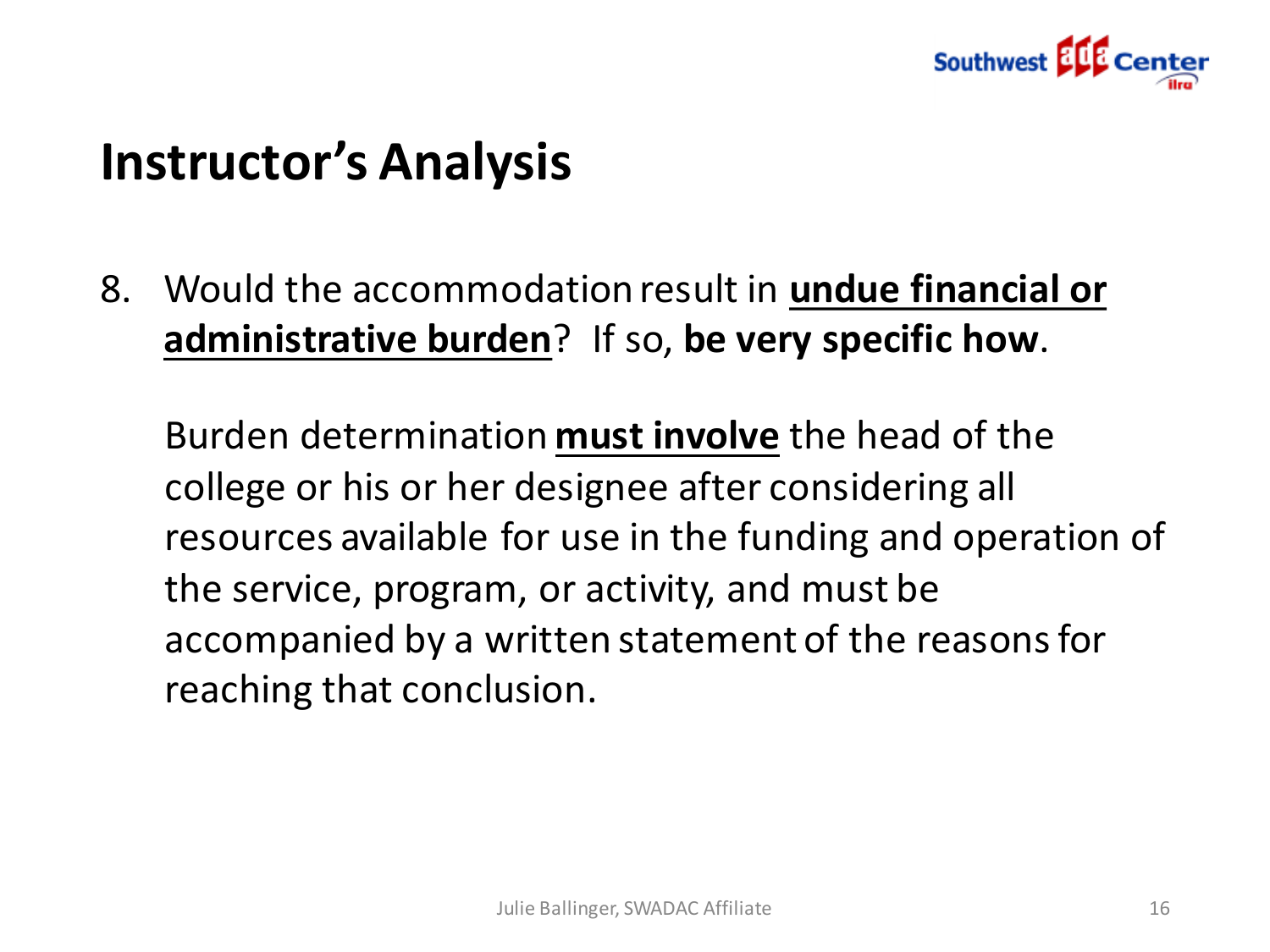

### **Instructor's Analysis 8**

8. Would the accommodation result in **undue financial or administrative burden**? If so, **be very specific how**.

Burden determination **must involve** the head of the college or his or her designee after considering all resources available for use in the funding and operation of the service, program, or activity, and must be accompanied by a written statement of the reasons for reaching that conclusion.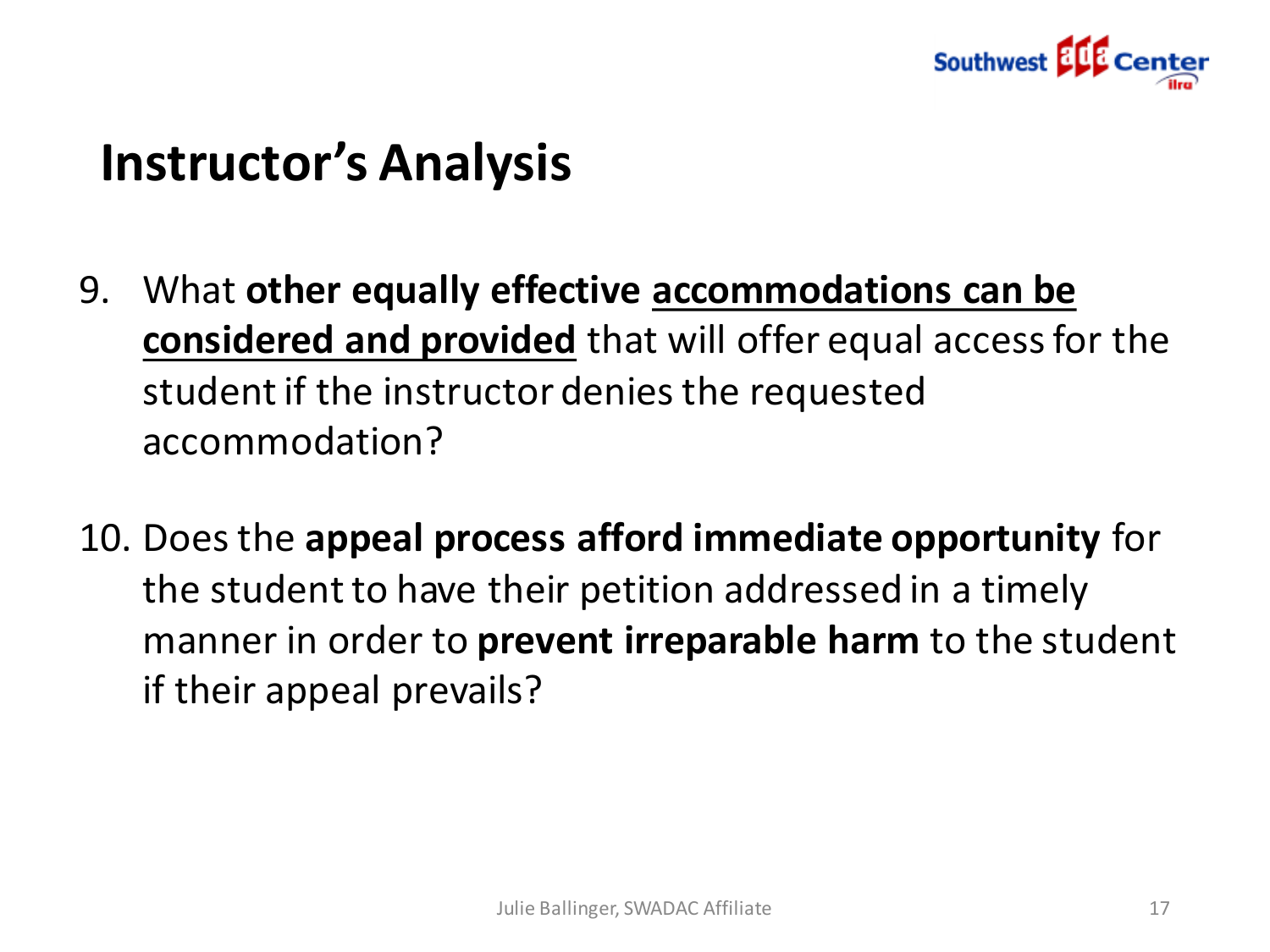

### **Instructor's Analysis**

- 9. What **other equally effective accommodations can be considered and provided** that will offer equal access for the student if the instructor denies the requested accommodation?
- 10. Does the **appeal process afford immediate opportunity** for the student to have their petition addressed in a timely manner in order to **prevent irreparable harm** to the student if their appeal prevails?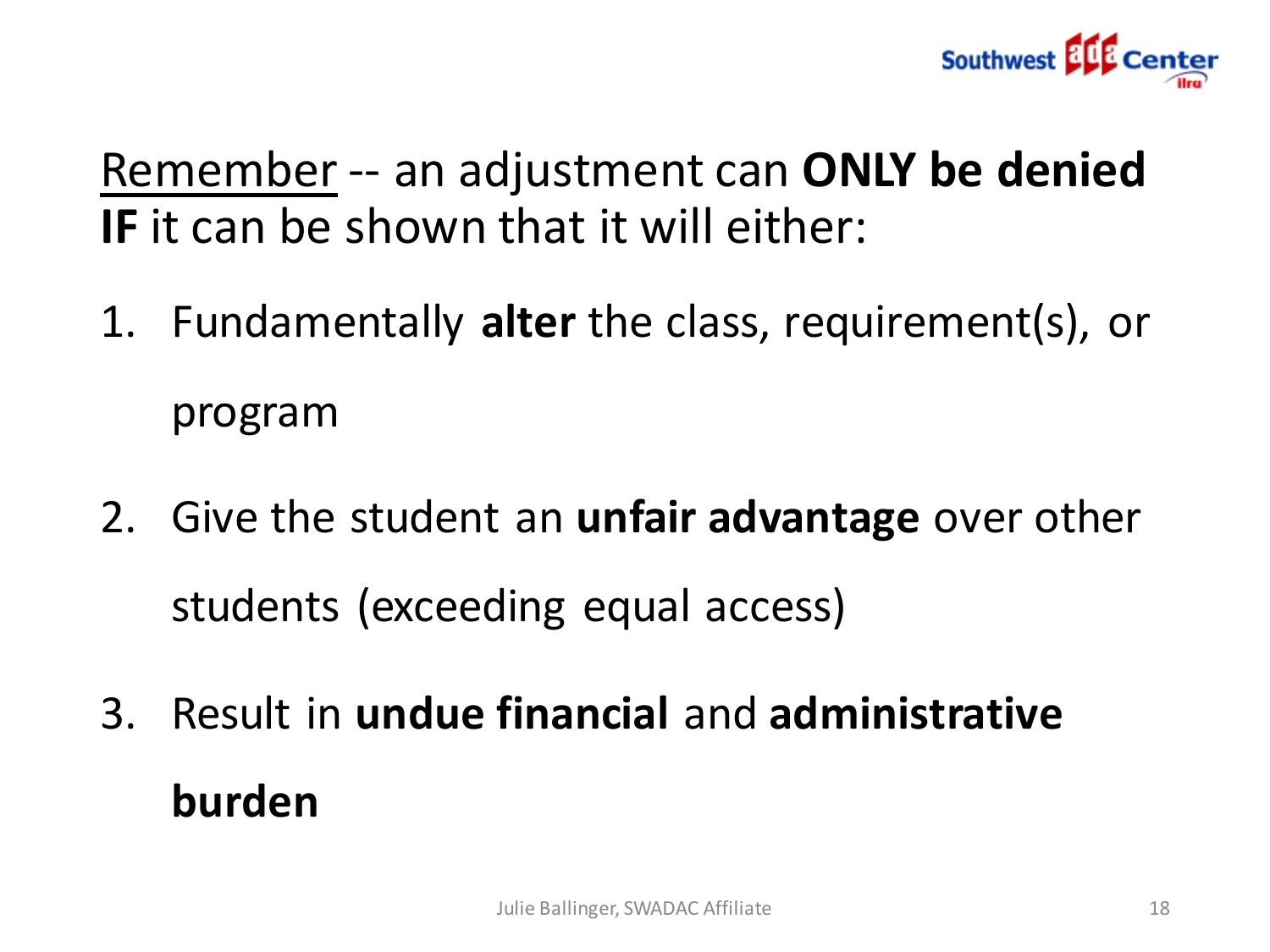

Remember -- an adjustment can **ONLY be denied IF** it can be shown that it will either:

- 1. Fundamentally **alter** the class, requirement(s), or program
- 2. Give the student an **unfair advantage** over other students (exceeding equal access)
- 3. Result in **undue financial** and **administrative burden**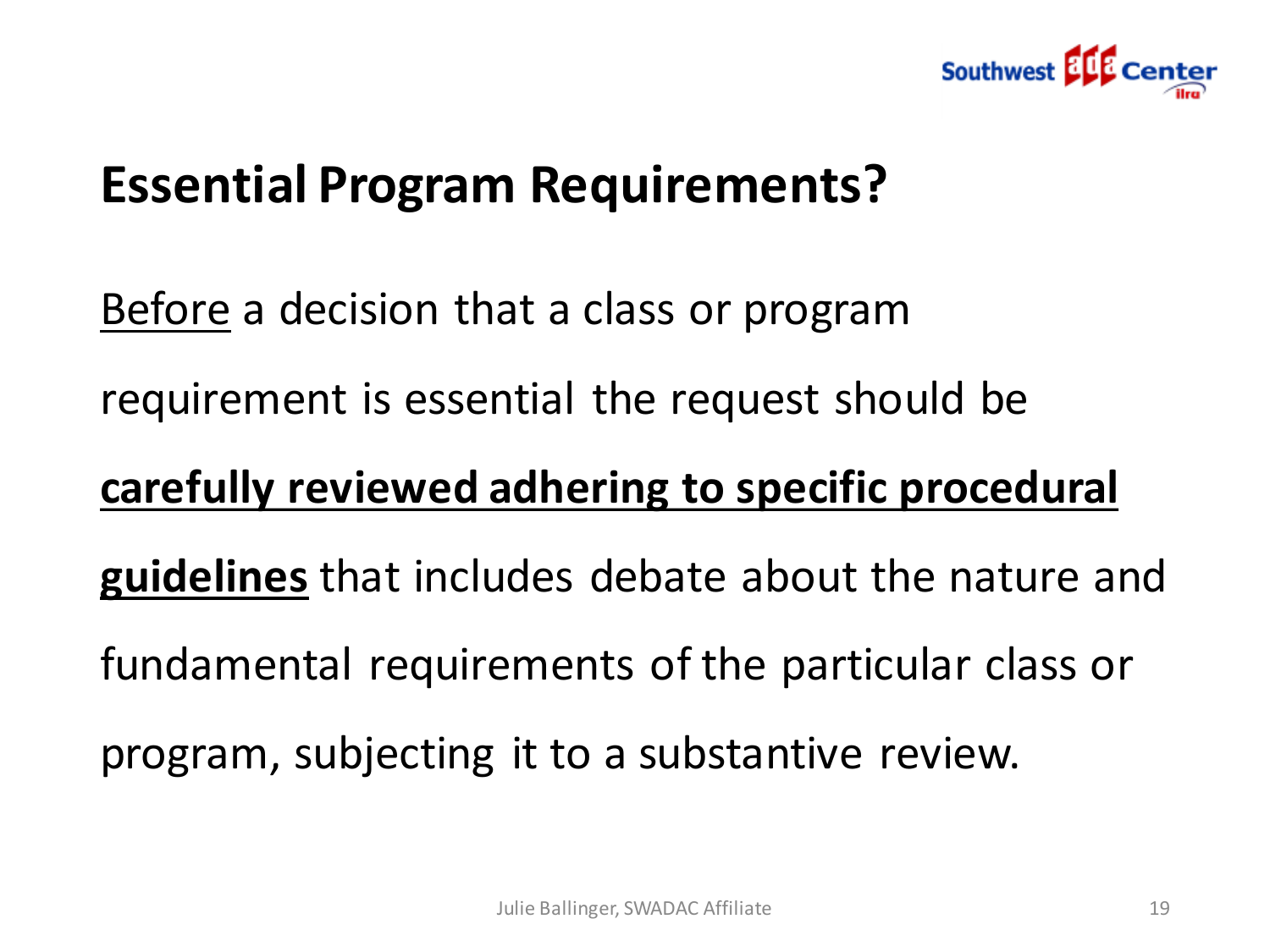

### **Essential Program Requirements?**

Before a decision that a class or program requirement is essential the request should be

#### **carefully reviewed adhering to specific procedural**

**guidelines** that includes debate about the nature and

fundamental requirements of the particular class or

program, subjecting it to a substantive review.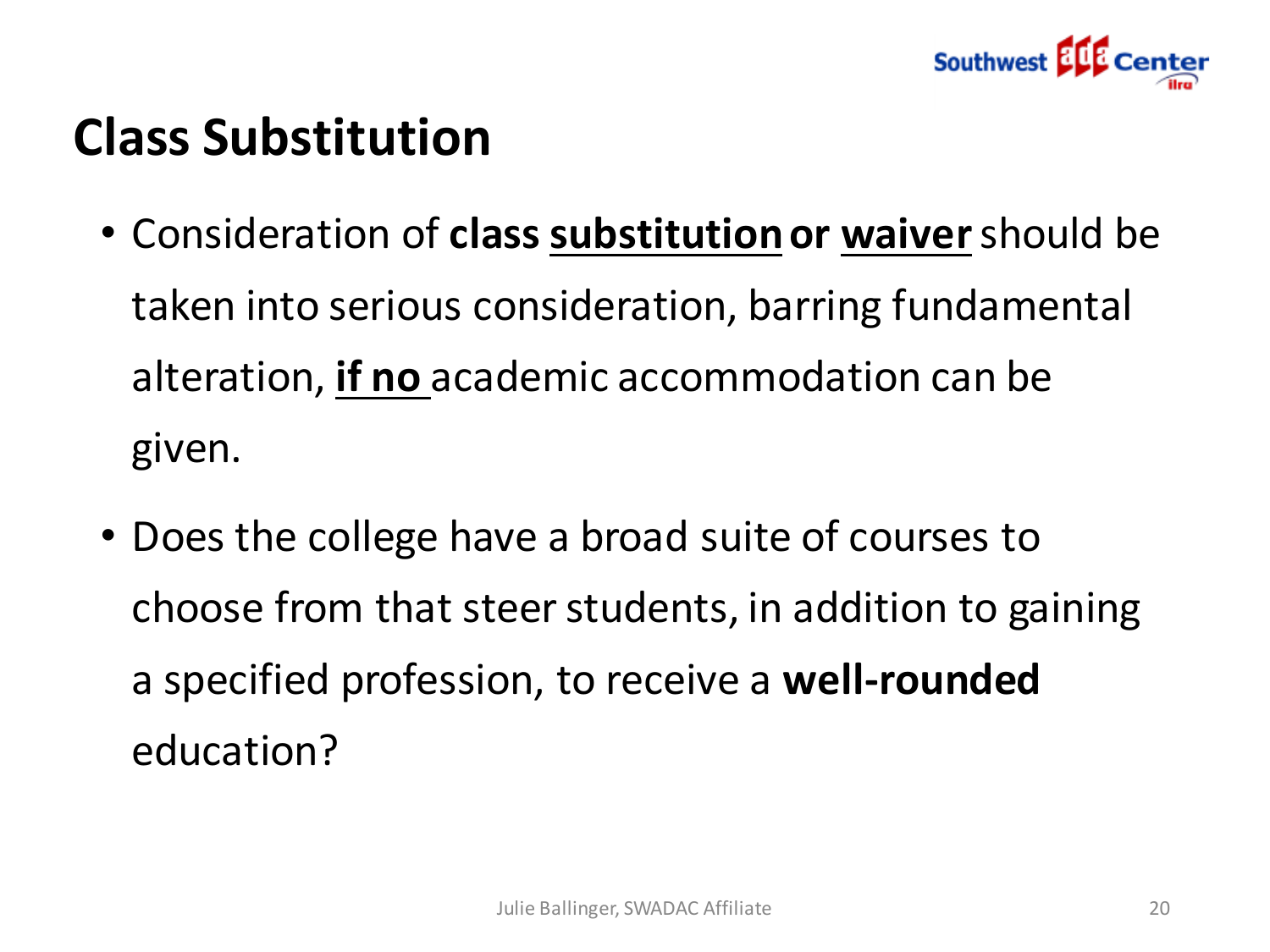

# **Class Substitution**

- Consideration of **class substitutionor waiver**should be taken into serious consideration, barring fundamental alteration, **if no** academic accommodation can be given.
- Does the college have a broad suite of courses to choose from that steer students, in addition to gaining a specified profession, to receive a **well-rounded**  education?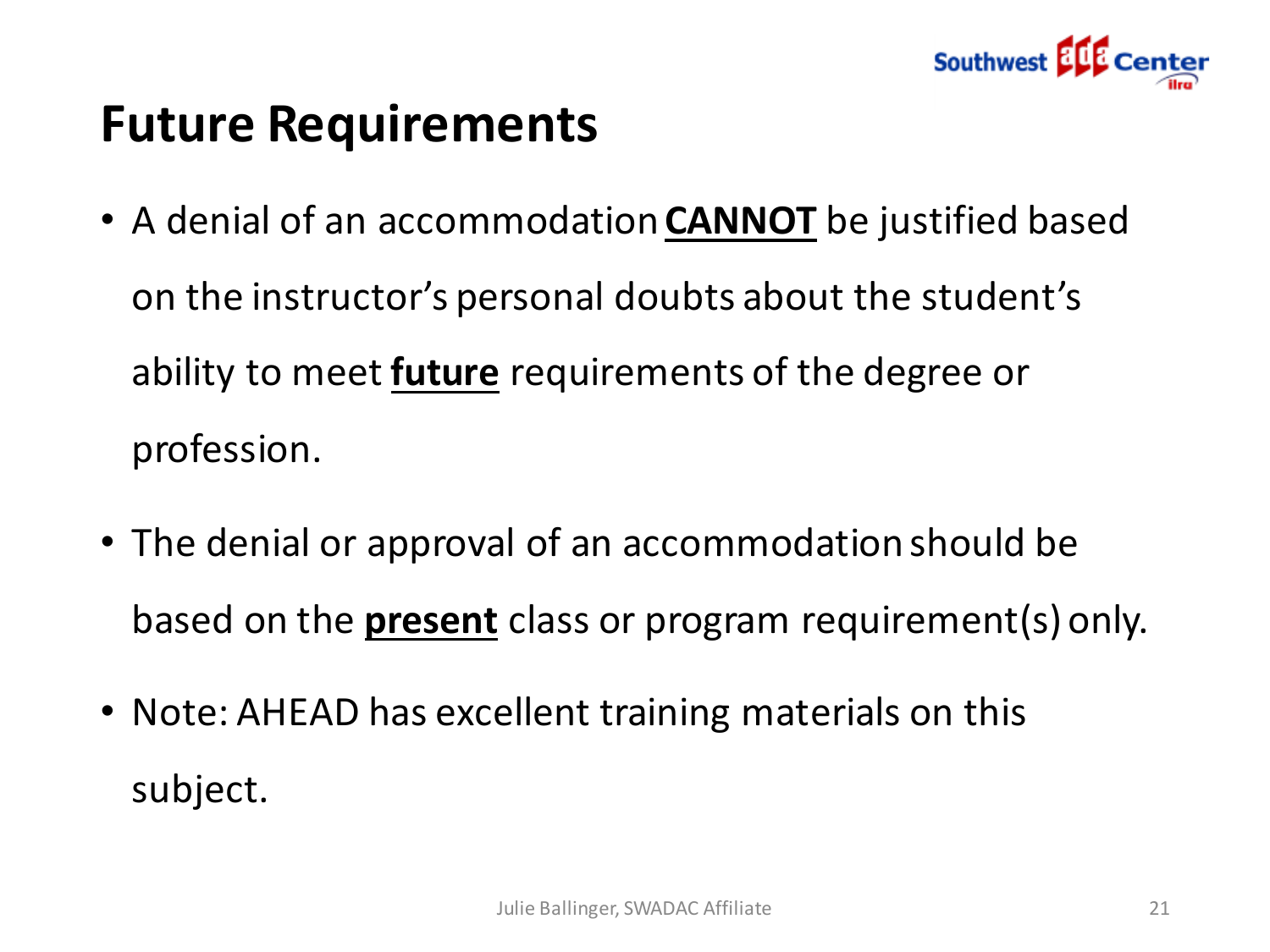

## **Future Requirements**

- A denial of an accommodation **CANNOT** be justified based on the instructor's personal doubts about the student's ability to meet **future** requirements of the degree or profession.
- The denial or approval of an accommodation should be based on the **present** class or program requirement(s) only.
- Note: AHEAD has excellent training materials on this subject.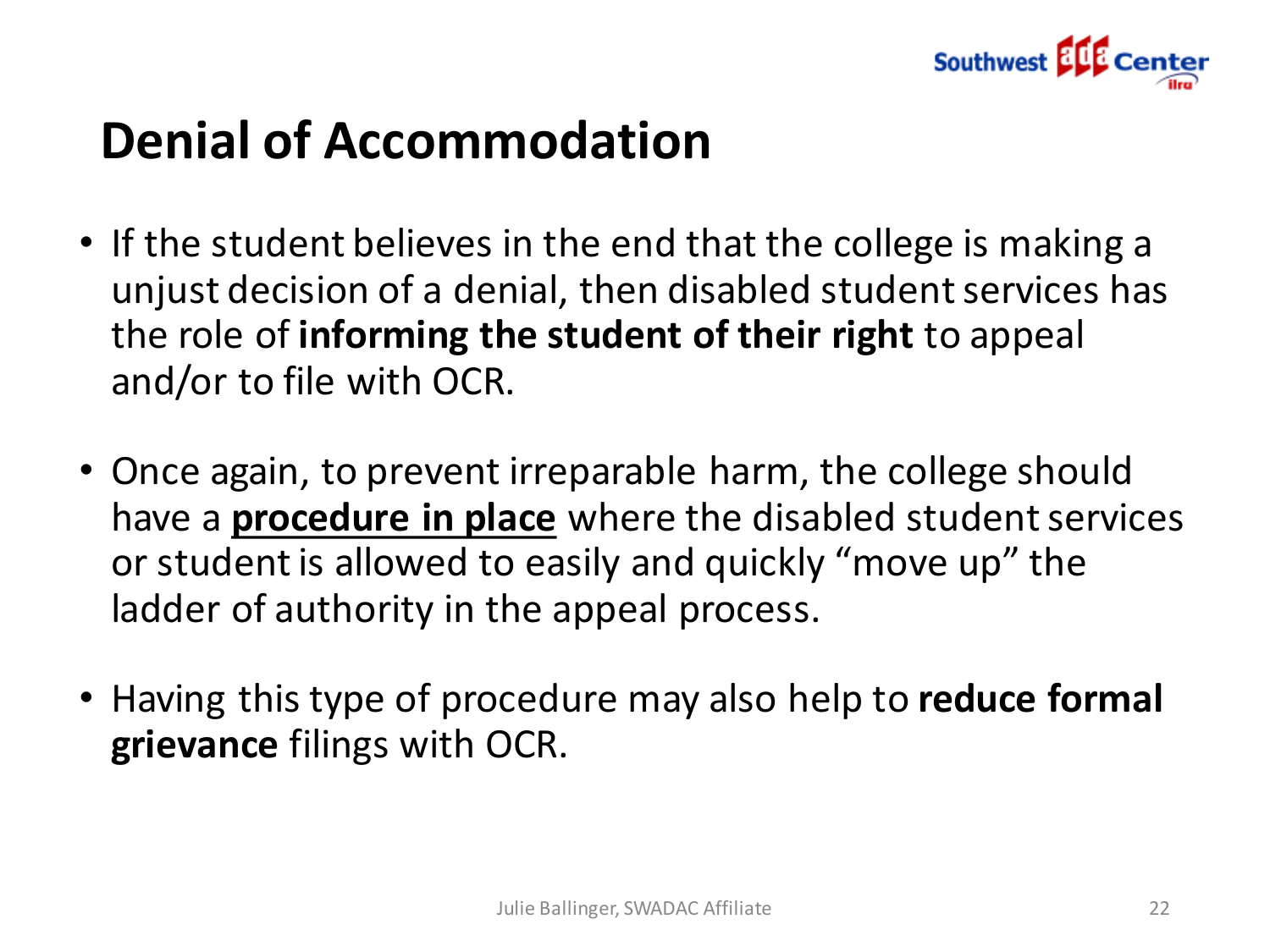

# **Denial of Accommodation**

- If the student believes in the end that the college is making a unjust decision of a denial, then disabled student services has the role of **informing the student of their right** to appeal and/or to file with OCR.
- Once again, to prevent irreparable harm, the college should have a **procedure in place** where the disabled student services or student is allowed to easily and quickly "move up" the ladder of authority in the appeal process.
- Having this type of procedure may also help to **reduce formal grievance** filings with OCR.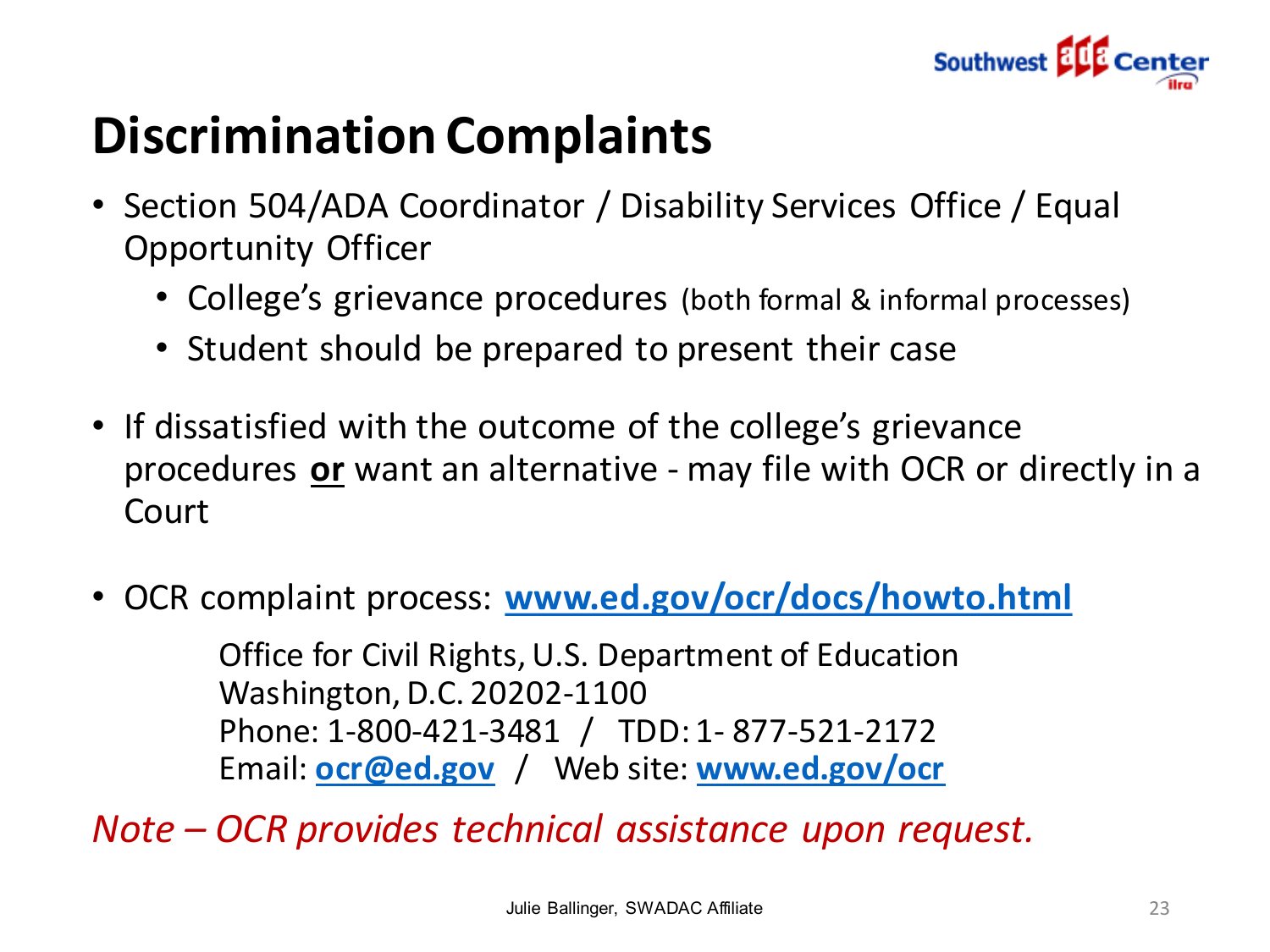

# **Discrimination Complaints**

- Section 504/ADA Coordinator / Disability Services Office / Equal Opportunity Officer
	- College's grievance procedures (both formal & informal processes)
	- Student should be prepared to present their case
- If dissatisfied with the outcome of the college's grievance procedures **or** want an alternative - may file with OCR or directly in a Court
- OCR complaint process: **[www.ed.gov/ocr/docs/howto.html](http://www.ed.gov/ocr/docs/howto.html)**

Office for Civil Rights, U.S. Department of Education Washington, D.C. 20202-1100 Phone: 1-800-421-3481 / TDD: 1- 877-521-2172 Email: **[ocr@ed.gov](mailto:ocr@ed.gov)** / Web site: **[www.ed.gov/ocr](http://www.ed.gov/ocr/)**

*Note – OCR provides technical assistance upon request.*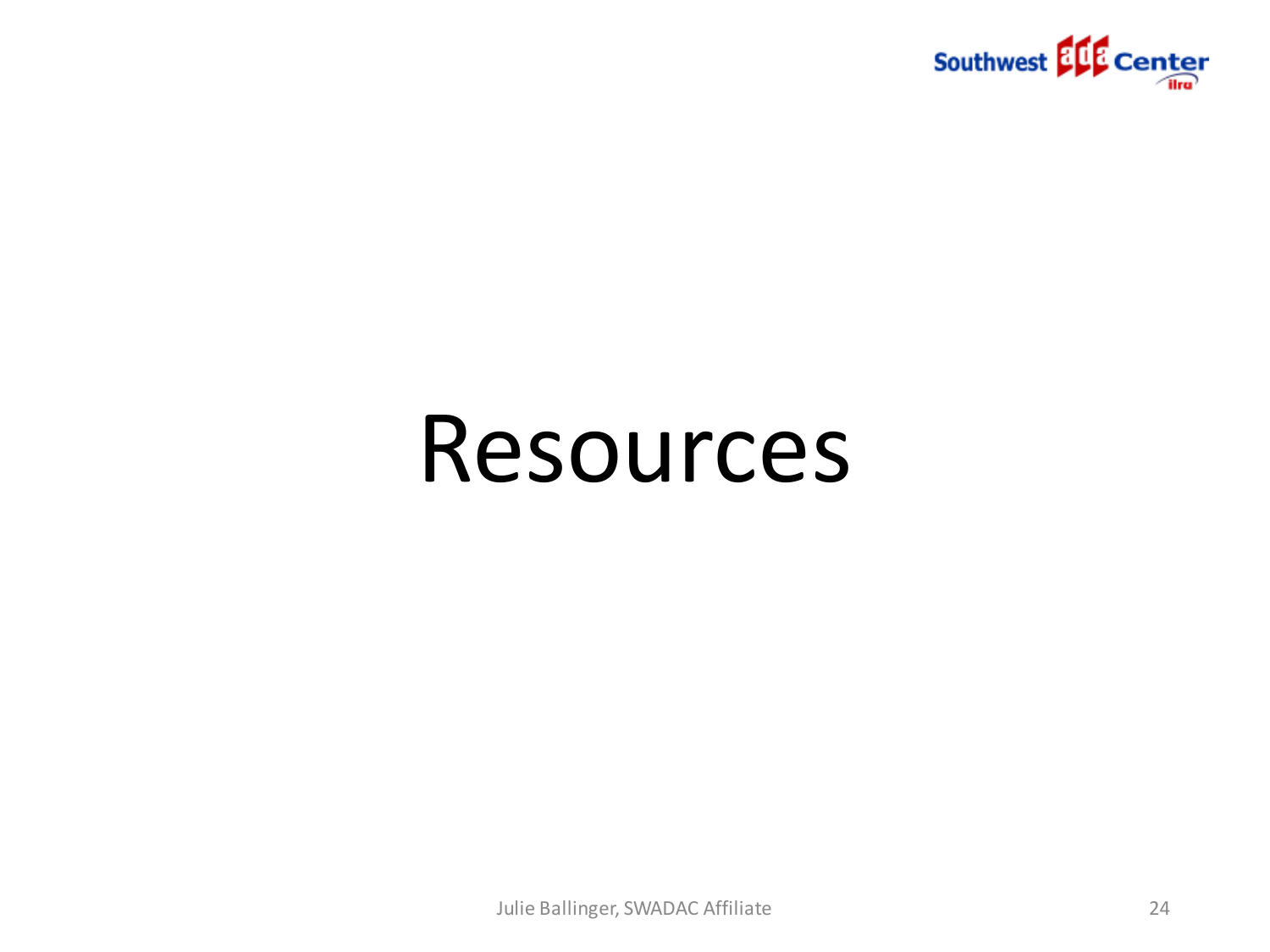

# Resources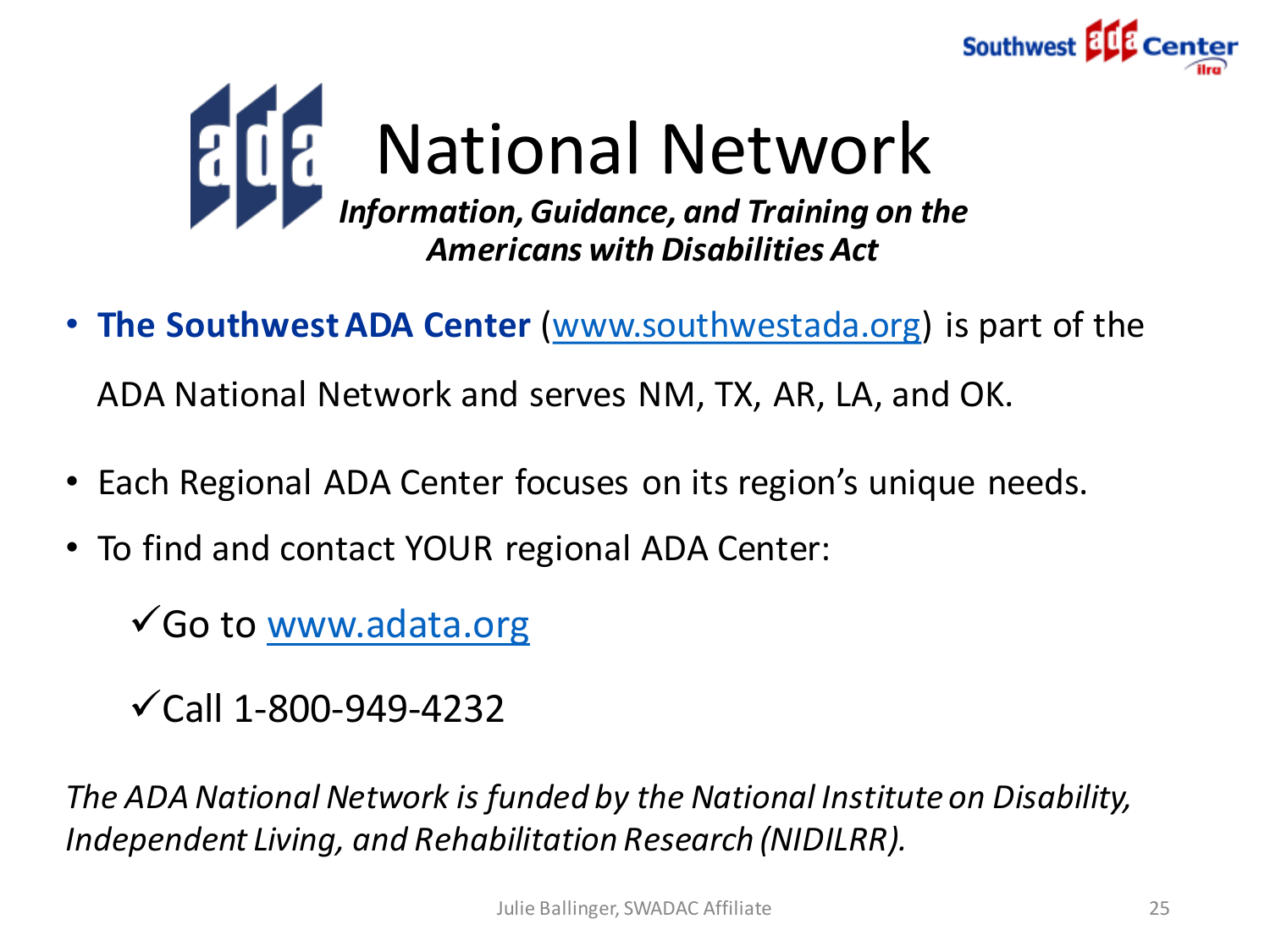



• **The Southwest ADA Center** [\(www.southwestada.org\)](http://www.southwestada.org/) is part of the

ADA National Network and serves NM, TX, AR, LA, and OK.

- Each Regional ADA Center focuses on its region's unique needs.
- To find and contact YOUR regional ADA Center:

Go to [www.adata.org](http://www.adata.org/)

 $\checkmark$  Call 1-800-949-4232

*The ADA National Network is funded by the National Institute on Disability, Independent Living, and Rehabilitation Research (NIDILRR).*